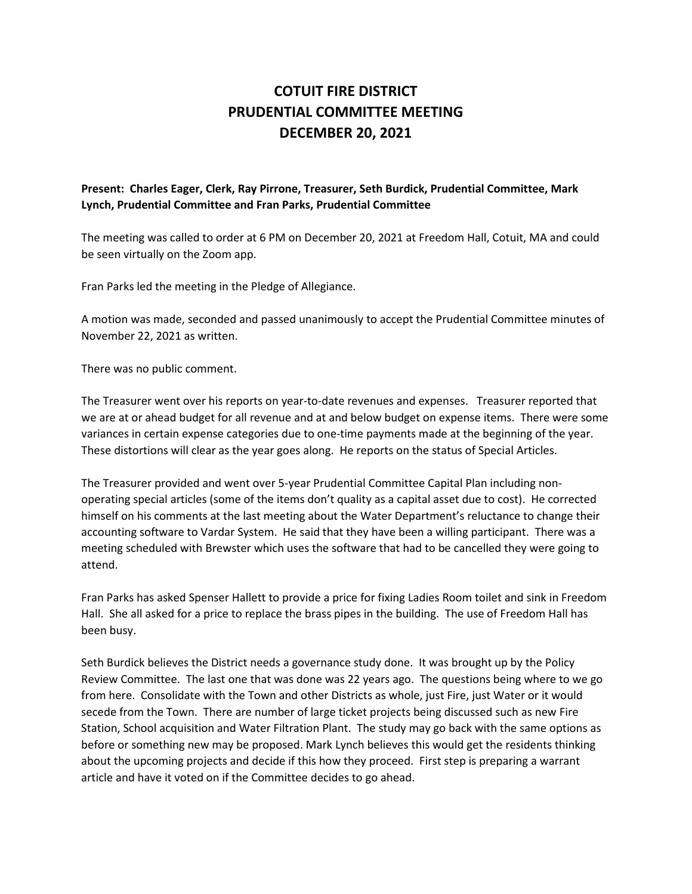## **COTUIT FIRE DISTRICT PRUDENTIAL COMMITTEE MEETING DECEMBER 20, 2021**

## **Present: Charles Eager, Clerk, Ray Pirrone, Treasurer, Seth Burdick, Prudential Committee, Mark Lynch, Prudential Committee and Fran Parks, Prudential Committee**

The meeting was called to order at 6 PM on December 20, 2021 at Freedom Hall, Cotuit, MA and could be seen virtually on the Zoom app.

Fran Parks led the meeting in the Pledge of Allegiance.

A motion was made, seconded and passed unanimously to accept the Prudential Committee minutes of November 22, 2021 as written.

There was no public comment.

The Treasurer went over his reports on year-to-date revenues and expenses. Treasurer reported that we are at or ahead budget for all revenue and at and below budget on expense items. There were some variances in certain expense categories due to one-time payments made at the beginning of the year. These distortions will clear as the year goes along. He reports on the status of Special Articles.

The Treasurer provided and went over 5-year Prudential Committee Capital Plan including nonoperating special articles (some of the items don't quality as a capital asset due to cost). He corrected himself on his comments at the last meeting about the Water Department's reluctance to change their accounting software to Vardar System. He said that they have been a willing participant. There was a meeting scheduled with Brewster which uses the software that had to be cancelled they were going to attend.

Fran Parks has asked Spenser Hallett to provide a price for fixing Ladies Room toilet and sink in Freedom Hall. She all asked for a price to replace the brass pipes in the building. The use of Freedom Hall has been busy.

Seth Burdick believes the District needs a governance study done. It was brought up by the Policy Review Committee. The last one that was done was 22 years ago. The questions being where to we go from here. Consolidate with the Town and other Districts as whole, just Fire, just Water or it would secede from the Town. There are number of large ticket projects being discussed such as new Fire Station, School acquisition and Water Filtration Plant. The study may go back with the same options as before or something new may be proposed. Mark Lynch believes this would get the residents thinking about the upcoming projects and decide if this how they proceed. First step is preparing a warrant article and have it voted on if the Committee decides to go ahead.